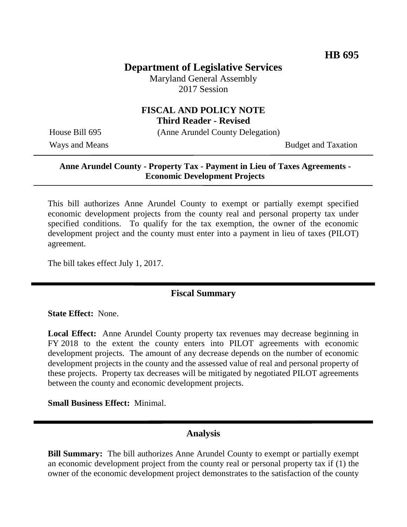## **Department of Legislative Services**

Maryland General Assembly 2017 Session

### **FISCAL AND POLICY NOTE Third Reader - Revised**

House Bill 695 (Anne Arundel County Delegation)

Ways and Means Budget and Taxation

#### **Anne Arundel County - Property Tax - Payment in Lieu of Taxes Agreements - Economic Development Projects**

This bill authorizes Anne Arundel County to exempt or partially exempt specified economic development projects from the county real and personal property tax under specified conditions. To qualify for the tax exemption, the owner of the economic development project and the county must enter into a payment in lieu of taxes (PILOT) agreement.

The bill takes effect July 1, 2017.

### **Fiscal Summary**

**State Effect:** None.

**Local Effect:** Anne Arundel County property tax revenues may decrease beginning in FY 2018 to the extent the county enters into PILOT agreements with economic development projects. The amount of any decrease depends on the number of economic development projects in the county and the assessed value of real and personal property of these projects. Property tax decreases will be mitigated by negotiated PILOT agreements between the county and economic development projects.

**Small Business Effect:** Minimal.

#### **Analysis**

**Bill Summary:** The bill authorizes Anne Arundel County to exempt or partially exempt an economic development project from the county real or personal property tax if (1) the owner of the economic development project demonstrates to the satisfaction of the county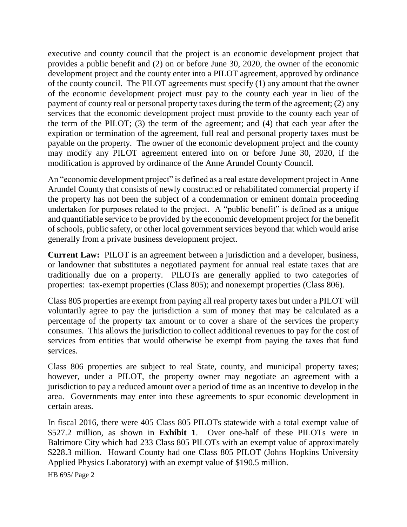executive and county council that the project is an economic development project that provides a public benefit and (2) on or before June 30, 2020, the owner of the economic development project and the county enter into a PILOT agreement, approved by ordinance of the county council. The PILOT agreements must specify (1) any amount that the owner of the economic development project must pay to the county each year in lieu of the payment of county real or personal property taxes during the term of the agreement; (2) any services that the economic development project must provide to the county each year of the term of the PILOT; (3) the term of the agreement; and (4) that each year after the expiration or termination of the agreement, full real and personal property taxes must be payable on the property. The owner of the economic development project and the county may modify any PILOT agreement entered into on or before June 30, 2020, if the modification is approved by ordinance of the Anne Arundel County Council.

An "economic development project" is defined as a real estate development project in Anne Arundel County that consists of newly constructed or rehabilitated commercial property if the property has not been the subject of a condemnation or eminent domain proceeding undertaken for purposes related to the project. A "public benefit" is defined as a unique and quantifiable service to be provided by the economic development project for the benefit of schools, public safety, or other local government services beyond that which would arise generally from a private business development project.

**Current Law:** PILOT is an agreement between a jurisdiction and a developer, business, or landowner that substitutes a negotiated payment for annual real estate taxes that are traditionally due on a property. PILOTs are generally applied to two categories of properties: tax-exempt properties (Class 805); and nonexempt properties (Class 806).

Class 805 properties are exempt from paying all real property taxes but under a PILOT will voluntarily agree to pay the jurisdiction a sum of money that may be calculated as a percentage of the property tax amount or to cover a share of the services the property consumes. This allows the jurisdiction to collect additional revenues to pay for the cost of services from entities that would otherwise be exempt from paying the taxes that fund services.

Class 806 properties are subject to real State, county, and municipal property taxes; however, under a PILOT, the property owner may negotiate an agreement with a jurisdiction to pay a reduced amount over a period of time as an incentive to develop in the area. Governments may enter into these agreements to spur economic development in certain areas.

In fiscal 2016, there were 405 Class 805 PILOTs statewide with a total exempt value of \$527.2 million, as shown in **Exhibit 1**. Over one-half of these PILOTs were in Baltimore City which had 233 Class 805 PILOTs with an exempt value of approximately \$228.3 million. Howard County had one Class 805 PILOT (Johns Hopkins University Applied Physics Laboratory) with an exempt value of \$190.5 million.

HB 695/ Page 2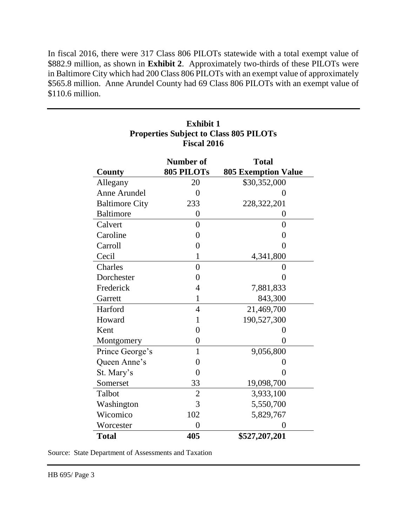In fiscal 2016, there were 317 Class 806 PILOTs statewide with a total exempt value of \$882.9 million, as shown in **Exhibit 2**. Approximately two-thirds of these PILOTs were in Baltimore City which had 200 Class 806 PILOTs with an exempt value of approximately \$565.8 million. Anne Arundel County had 69 Class 806 PILOTs with an exempt value of \$110.6 million.

| I ISLAI 4010          |                  |                            |
|-----------------------|------------------|----------------------------|
|                       | <b>Number of</b> | <b>Total</b>               |
| County                | 805 PILOTs       | <b>805 Exemption Value</b> |
| Allegany              | 20               | \$30,352,000               |
| Anne Arundel          | $\theta$         | $\theta$                   |
| <b>Baltimore City</b> | 233              | 228, 322, 201              |
| <b>Baltimore</b>      | 0                | 0                          |
| Calvert               | $\overline{0}$   | $\overline{0}$             |
| Caroline              | $\overline{0}$   | $\overline{0}$             |
| Carroll               | $\overline{0}$   | $\theta$                   |
| Cecil                 | $\mathbf{1}$     | 4,341,800                  |
| Charles               | $\overline{0}$   | $\overline{0}$             |
| Dorchester            | $\overline{0}$   | $\overline{0}$             |
| Frederick             | 4                | 7,881,833                  |
| Garrett               | $\mathbf{1}$     | 843,300                    |
| Harford               | $\overline{4}$   | 21,469,700                 |
| Howard                | 1                | 190,527,300                |
| Kent                  | $\overline{0}$   | $\overline{0}$             |
| Montgomery            | $\theta$         | 0                          |
| Prince George's       | $\mathbf{1}$     | 9,056,800                  |
| Queen Anne's          | $\overline{0}$   | $\theta$                   |
| St. Mary's            | $\overline{0}$   | $\theta$                   |
| Somerset              | 33               | 19,098,700                 |
| Talbot                | $\overline{2}$   | 3,933,100                  |
| Washington            | 3                | 5,550,700                  |
| Wicomico              | 102              | 5,829,767                  |
| Worcester             | $\theta$         |                            |
| <b>Total</b>          | 405              | \$527,207,201              |

### **Exhibit 1 Properties Subject to Class 805 PILOTs Fiscal 2016**

Source: State Department of Assessments and Taxation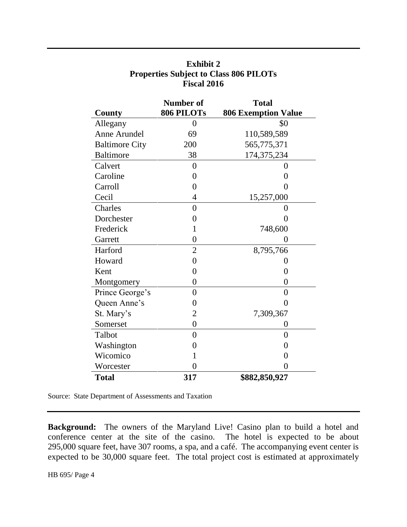| County                | Number of<br>806 PILOTs | <b>Total</b><br><b>806 Exemption Value</b> |
|-----------------------|-------------------------|--------------------------------------------|
|                       |                         |                                            |
| Anne Arundel          | 69                      | 110,589,589                                |
| <b>Baltimore City</b> | 200                     | 565,775,371                                |
| <b>Baltimore</b>      | 38                      | 174,375,234                                |
| Calvert               | $\overline{0}$          | 0                                          |
| Caroline              | 0                       | 0                                          |
| Carroll               | 0                       | 0                                          |
| Cecil                 | $\overline{4}$          | 15,257,000                                 |
| Charles               | $\overline{0}$          | $\overline{0}$                             |
| Dorchester            | 0                       | 0                                          |
| Frederick             | $\mathbf 1$             | 748,600                                    |
| Garrett               | $\overline{0}$          | 0                                          |
| Harford               | $\overline{2}$          | 8,795,766                                  |
| Howard                | $\overline{0}$          | 0                                          |
| Kent                  | 0                       | $\overline{0}$                             |
| Montgomery            | $\overline{0}$          | $\overline{0}$                             |
| Prince George's       | 0                       | $\overline{0}$                             |
| Queen Anne's          | 0                       | $\overline{0}$                             |
| St. Mary's            | $\overline{2}$          | 7,309,367                                  |
| Somerset              | 0                       | 0                                          |
| Talbot                | $\overline{0}$          | $\overline{0}$                             |
| Washington            | 0                       | $\overline{0}$                             |
| Wicomico              | 1                       | $\overline{0}$                             |
| Worcester             | 0                       | 0                                          |
| <b>Total</b>          | 317                     | \$882,850,927                              |

# **Exhibit 2 Properties Subject to Class 806 PILOTs Fiscal 2016**

Source: State Department of Assessments and Taxation

**Background:** The owners of the Maryland Live! Casino plan to build a hotel and conference center at the site of the casino. The hotel is expected to be about 295,000 square feet, have 307 rooms, a spa, and a café. The accompanying event center is expected to be 30,000 square feet. The total project cost is estimated at approximately